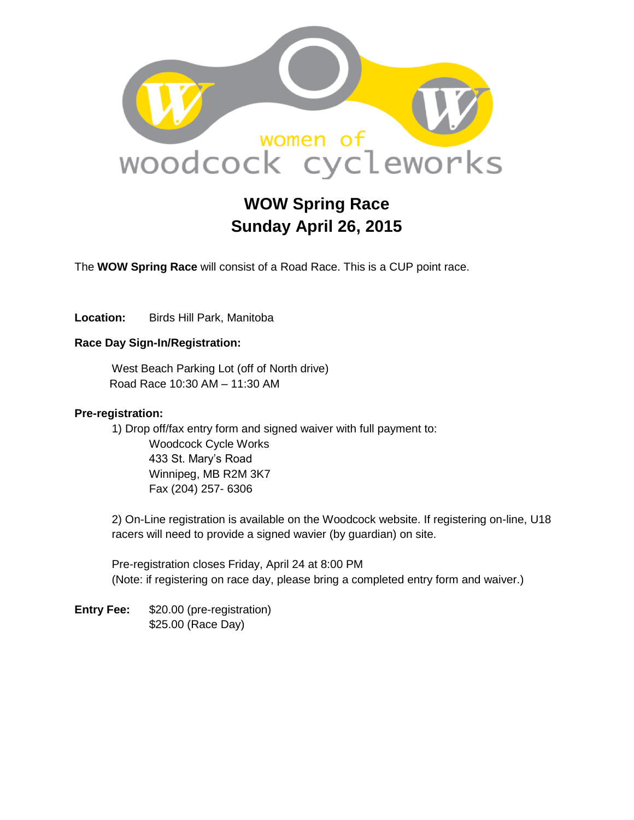

# **WOW Spring Race Sunday April 26, 2015**

The **WOW Spring Race** will consist of a Road Race. This is a CUP point race.

Location: Birds Hill Park, Manitoba

### **Race Day Sign-In/Registration:**

West Beach Parking Lot (off of North drive) Road Race 10:30 AM – 11:30 AM

#### **Pre-registration:**

1) Drop off/fax entry form and signed waiver with full payment to: Woodcock Cycle Works 433 St. Mary's Road Winnipeg, MB R2M 3K7 Fax (204) 257- 6306

2) On-Line registration is available on the Woodcock website. If registering on-line, U18 racers will need to provide a signed wavier (by guardian) on site.

Pre-registration closes Friday, April 24 at 8:00 PM (Note: if registering on race day, please bring a completed entry form and waiver.)

**Entry Fee:** \$20.00 (pre-registration) \$25.00 (Race Day)